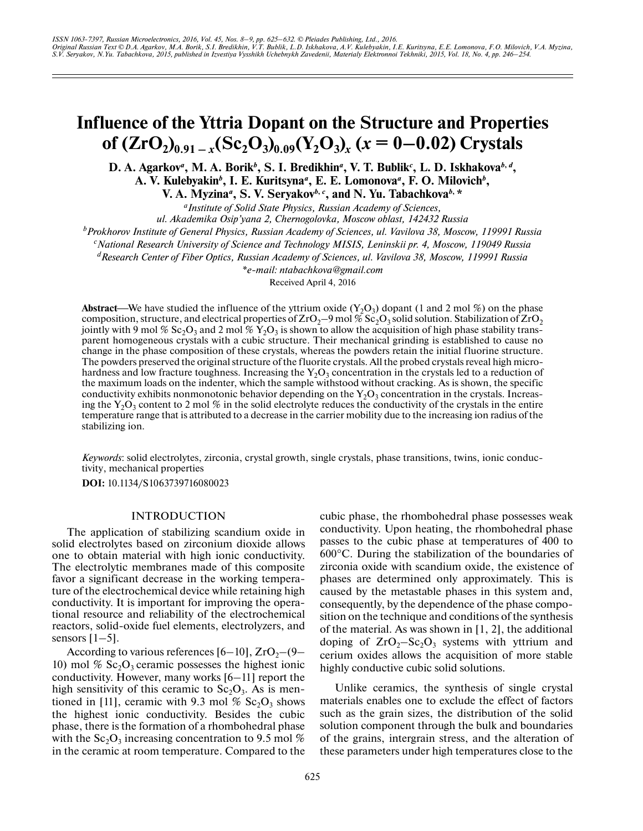# **Influence of the Yttria Dopant on the Structure and Properties** of  $(ZrO_{2})_{0.91-x}(Sc_{2}O_{3})_{0.09}(Y_{2}O_{3})_{x}$  ( $x=0-0.02$ ) Crystals

**D. A. Agarkov***<sup>a</sup>* **, M. A. Borik***<sup>b</sup>* **, S. I. Bredikhin***<sup>a</sup>***, V. T. Bublik***<sup>c</sup>* **, L. D. Iskhakova***<sup>b</sup>***,***<sup>d</sup>***, A. V. Kulebyakin***<sup>b</sup>* **, I. E. Kuritsyna***<sup>a</sup>* **, E. E. Lomonova***<sup>a</sup>***, F. O. Milovich***<sup>b</sup>* **, V. A. Myzina***<sup>a</sup>***, S. V. Seryakov***<sup>b</sup>***,***<sup>c</sup>***, and N. Yu. Tabachkova***<sup>b</sup>***, \***

> *aInstitute of Solid State Physics, Russian Academy of Sciences, ul. Akademika Osip'yana 2, Chernogolovka, Moscow oblast, 142432 Russia*

*b Prokhorov Institute of General Physics, Russian Academy of Sciences, ul. Vavilova 38, Moscow, 119991 Russia*

*c National Research University of Science and Technology MISIS, Leninskii pr. 4, Moscow, 119049 Russia*

*d Research Center of Fiber Optics, Russian Academy of Sciences, ul. Vavilova 38, Moscow, 119991 Russia*

*\*e-mail: ntabachkova@gmail.com*

Received April 4, 2016

**Abstract—We have studied the influence of the yttrium oxide**  $(Y_2O_3)$  **dopant (1 and 2 mol %) on the phase** composition, structure, and electrical properties of  $ZrO_2$ –9 mol % Sc<sub>2</sub>O<sub>3</sub> solid solution. Stabilization of  $ZrO_2$ jointly with 9 mol %  $Sc_2O_3$  and 2 mol %  $Y_2O_3$  is shown to allow the acquisition of high phase stability transparent homogeneous crystals with a cubic structure. Their mechanical grinding is established to cause no change in the phase composition of these crystals, whereas the powders retain the initial fluorine structure. The powders preserved the original structure of the fluorite crystals. All the probed crystals reveal high microhardness and low fracture toughness. Increasing the  $Y_2O_3$  concentration in the crystals led to a reduction of the maximum loads on the indenter, which the sample withstood without cracking. As is shown, the specific conductivity exhibits nonmonotonic behavior depending on the  $Y_2O_3$  concentration in the crystals. Increasing the  $Y_2O_3$  content to 2 mol % in the solid electrolyte reduces the conductivity of the crystals in the entire temperature range that is attributed to a decrease in the carrier mobility due to the increasing ion radius of the stabilizing ion.

*Keywords*: solid electrolytes, zirconia, crystal growth, single crystals, phase transitions, twins, ionic conductivity, mechanical properties

**DOI:** 10.1134/S1063739716080023

## INTRODUCTION

The application of stabilizing scandium oxide in solid electrolytes based on zirconium dioxide allows one to obtain material with high ionic conductivity. The electrolytic membranes made of this composite favor a significant decrease in the working temperature of the electrochemical device while retaining high conductivity. It is important for improving the operational resource and reliability of the electrochemical reactors, solid-oxide fuel elements, electrolyzers, and sensors  $[1-5]$ .

According to various references  $[6-10]$ ,  $ZrO<sub>2</sub>$  - (9– 10) mol  $\%$  Sc<sub>2</sub>O<sub>3</sub> ceramic possesses the highest ionic conductivity. However, many works [6–11] report the high sensitivity of this ceramic to  $Sc_2O_3$ . As is mentioned in [11], ceramic with 9.3 mol %  $Sc_2O_3$  shows the highest ionic conductivity. Besides the cubic phase, there is the formation of a rhombohedral phase with the  $Sc_2O_3$  increasing concentration to 9.5 mol % in the ceramic at room temperature. Compared to the cubic phase, the rhombohedral phase possesses weak conductivity. Upon heating, the rhombohedral phase passes to the cubic phase at temperatures of 400 to 600°C. During the stabilization of the boundaries of zirconia oxide with scandium oxide, the existence of phases are determined only approximately. This is caused by the metastable phases in this system and, consequently, by the dependence of the phase composition on the technique and conditions of the synthesis of the material. As was shown in [1, 2], the additional doping of  $ZrO<sub>2</sub> - Sc<sub>2</sub>O<sub>3</sub>$  systems with yttrium and cerium oxides allows the acquisition of more stable highly conductive cubic solid solutions.

Unlike ceramics, the synthesis of single crystal materials enables one to exclude the effect of factors such as the grain sizes, the distribution of the solid solution component through the bulk and boundaries of the grains, intergrain stress, and the alteration of these parameters under high temperatures close to the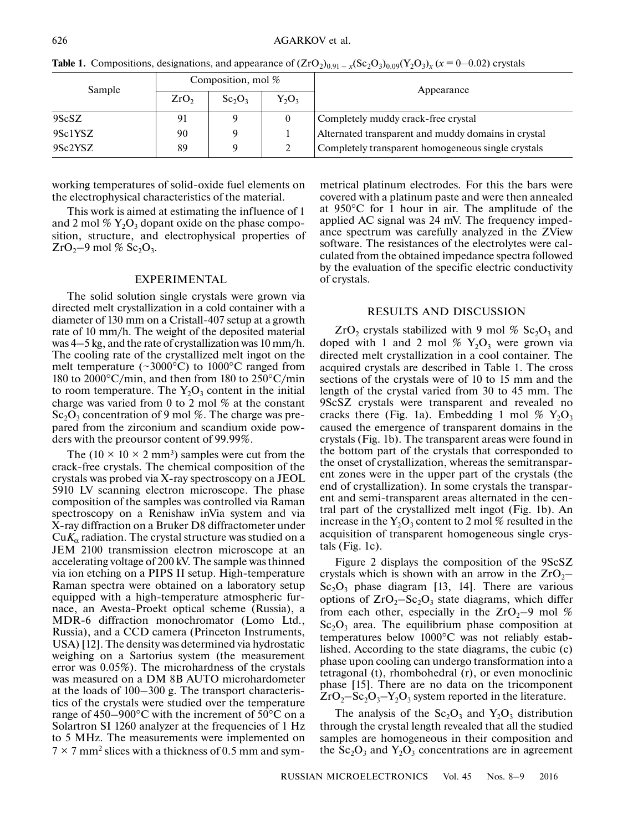| Sample  | Composition, mol % |           |          | Appearance                                          |  |
|---------|--------------------|-----------|----------|-----------------------------------------------------|--|
|         | ZrO <sub>2</sub>   | $Sc_2O_3$ | $Y_2O_3$ |                                                     |  |
| 9ScSZ   | 91                 |           | 0        | Completely muddy crack-free crystal                 |  |
| 9Sc1YSZ | 90                 |           |          | Alternated transparent and muddy domains in crystal |  |
| 9Sc2YSZ | 89                 |           |          | Completely transparent homogeneous single crystals  |  |

**Table 1.** Compositions, designations, and appearance of  $(ZrO<sub>2</sub>)<sub>0.91-x</sub>(Sc<sub>2</sub>O<sub>3</sub>)<sub>0.09</sub>(Y<sub>2</sub>O<sub>3</sub>)<sub>x</sub> (x = 0-0.02)$  crystals

working temperatures of solid-oxide fuel elements on the electrophysical characteristics of the material.

This work is aimed at estimating the influence of 1 and 2 mol  $\%$  Y<sub>2</sub>O<sub>3</sub> dopant oxide on the phase composition, structure, and electrophysical properties of  $ZrO_2$ –9 mol % Sc<sub>2</sub>O<sub>3</sub>.

## EXPERIMENTAL

The solid solution single crystals were grown via directed melt crystallization in a cold container with a diameter of 130 mm on a Cristall-407 setup at a growth rate of 10 mm/h. The weight of the deposited material was 4–5 kg, and the rate of crystallization was 10 mm/h. The cooling rate of the crystallized melt ingot on the melt temperature (~3000°C) to 1000°C ranged from 180 to 2000 $\rm ^{\circ}C/min$ , and then from 180 to 250 $\rm ^{\circ}C/min$ to room temperature. The  $Y_2O_3$  content in the initial charge was varied from 0 to 2 mol % at the constant  $Sc_2O_3$  concentration of 9 mol %. The charge was prepared from the zirconium and scandium oxide powders with the preoursor content of 99.99%.

The  $(10 \times 10 \times 2 \text{ mm}^3)$  samples were cut from the crack-free crystals. The chemical composition of the crystals was probed via X-ray spectroscopy on a JEOL 5910 LV scanning electron microscope. The phase composition of the samples was controlled via Raman spectroscopy on a Renishaw inVia system and via X-ray diffraction on a Bruker D8 diffractometer under  $CuK<sub>α</sub>$  radiation. The crystal structure was studied on a JEM 2100 transmission electron microscope at an accelerating voltage of 200 kV. The sample was thinned via ion etching on a PIPS II setup. High-temperature Raman spectra were obtained on a laboratory setup equipped with a high-temperature atmospheric furnace, an Avesta-Proekt optical scheme (Russia), a MDR-6 diffraction monochromator (Lomo Ltd., Russia), and a CCD camera (Princeton Instruments, USA) [12]. The density was determined via hydrostatic weighing on a Sartorius system (the measurement error was 0.05%). The microhardness of the crystals was measured on a DM 8В AUTO microhardometer at the loads of 100–300 g. The transport characteristics of the crystals were studied over the temperature range of 450–900°C with the increment of 50°C on a Solartron SI 1260 analyzer at the frequencies of 1 Hz to 5 MHz. The measurements were implemented on  $7 \times 7$  mm<sup>2</sup> slices with a thickness of 0.5 mm and sym-

metrical platinum electrodes. For this the bars were covered with a platinum paste and were then annealed at 950°C for 1 hour in air. The amplitude of the applied AC signal was 24 mV. The frequency impedance spectrum was carefully analyzed in the ZView software. The resistances of the electrolytes were calculated from the obtained impedance spectra followed by the evaluation of the specific electric conductivity of crystals.

## RESULTS AND DISCUSSION

 $ZrO<sub>2</sub>$  crystals stabilized with 9 mol %  $Sc<sub>2</sub>O<sub>3</sub>$  and doped with 1 and 2 mol  $\%$  Y<sub>2</sub>O<sub>3</sub> were grown via directed melt crystallization in a cool container. The acquired crystals are described in Table 1. The cross sections of the crystals were of 10 to 15 mm and the length of the crystal varied from 30 to 45 mm. The 9ScSZ crystals were transparent and revealed no cracks there (Fig. 1a). Embedding 1 mol  $\%$  Y<sub>2</sub>O<sub>3</sub> caused the emergence of transparent domains in the crystals (Fig. 1b). The transparent areas were found in the bottom part of the crystals that corresponded to the onset of crystallization, whereas the semitransparent zones were in the upper part of the crystals (the end of crystallization). In some crystals the transparent and semi-transparent areas alternated in the central part of the crystallized melt ingot (Fig. 1b). An increase in the  $Y_2O_3$  content to 2 mol % resulted in the acquisition of transparent homogeneous single crystals (Fig. 1c).

Figure 2 displays the composition of the 9ScSZ crystals which is shown with an arrow in the  $ZrO<sub>2</sub>$  $Sc_2O_3$  phase diagram [13, 14]. There are various options of  $ZrO<sub>2</sub>-Sc<sub>2</sub>O<sub>3</sub>$  state diagrams, which differ from each other, especially in the  $ZrO<sub>2</sub>$ –9 mol %  $Sc<sub>2</sub>O<sub>3</sub>$  area. The equilibrium phase composition at temperatures below 1000°C was not reliably established. According to the state diagrams, the cubic (c) phase upon cooling can undergo transformation into a tetragonal (t), rhombohedral (r), or even monoclinic phase [15]. There are no data on the tricomponent  $ZrO_2-Sc_2O_3-Y_2O_3$  system reported in the literature.

The analysis of the  $Sc_2O_3$  and  $Y_2O_3$  distribution through the crystal length revealed that all the studied samples are homogeneous in their composition and the  $Sc_2O_3$  and  $Y_2O_3$  concentrations are in agreement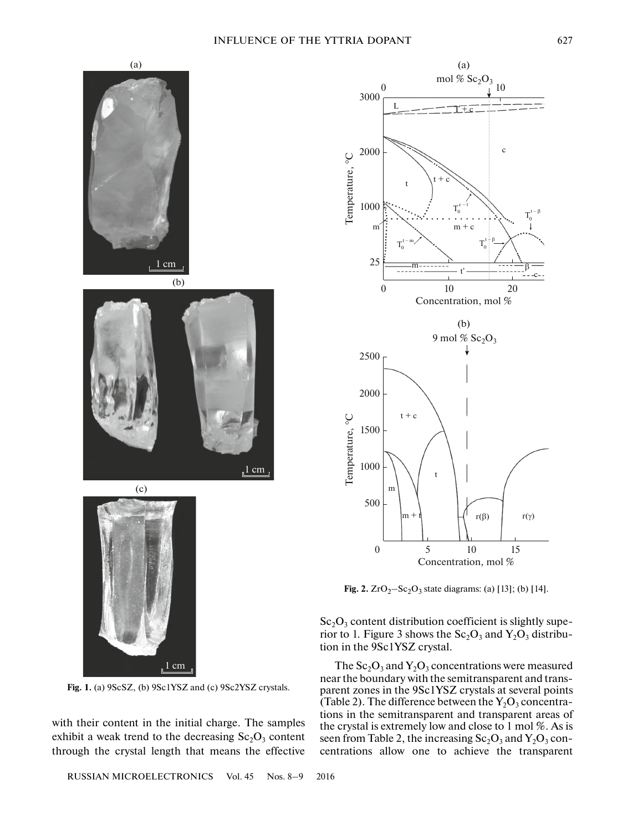

(b)





Fig. 1. (a) 9ScSZ, (b) 9Sc1YSZ and (c) 9Sc2YSZ crystals.

with their content in the initial charge. The samples exhibit a weak trend to the decreasing  $Sc_2O_3$  content through the crystal length that means the effective

RUSSIAN MICROELECTRONICS Vol. 45 Nos. 8–9 2016



**Fig. 2.**  $ZrO_2-Sc_2O_3$  state diagrams: (a) [13]; (b) [14].

 $Sc<sub>2</sub>O<sub>3</sub>$  content distribution coefficient is slightly superior to 1. Figure 3 shows the  $Sc_2O_3$  and  $Y_2O_3$  distribution in the 9Sc1YSZ crystal.

The  $Sc_2O_3$  and  $Y_2O_3$  concentrations were measured near the boundary with the semitransparent and transparent zones in the 9Sc1YSZ crystals at several points (Table 2). The difference between the  $Y_2O_3$  concentrations in the semitransparent and transparent areas of the crystal is extremely low and close to 1 mol %. As is seen from Table 2, the increasing  $Sc_2O_3$  and  $Y_2O_3$  concentrations allow one to achieve the transparent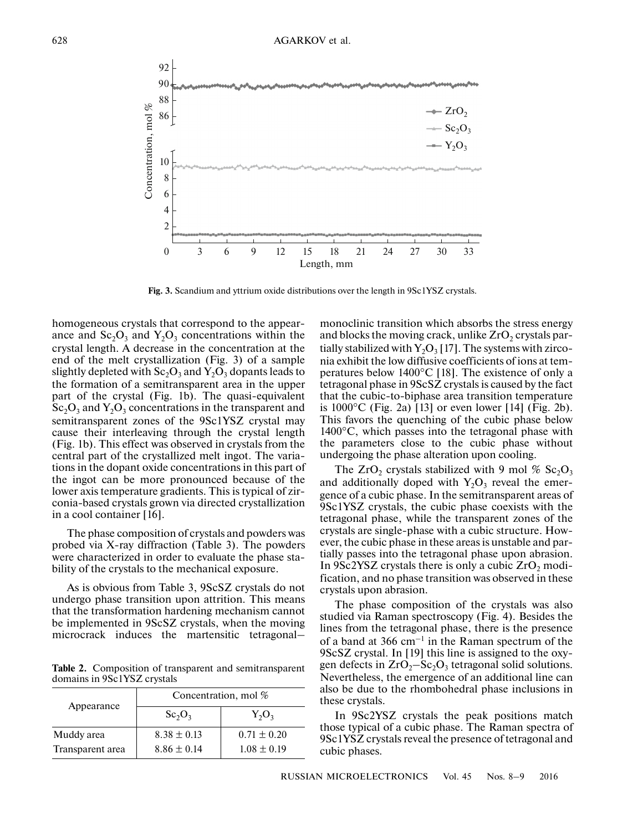

**Fig. 3.** Scandium and yttrium oxide distributions over the length in 9Sc1YSZ crystals.

homogeneous crystals that correspond to the appearance and  $Sc_2O_3$  and  $Y_2O_3$  concentrations within the crystal length. A decrease in the concentration at the end of the melt crystallization (Fig. 3) of a sample slightly depleted with  $Sc_2O_3$  and  $Y_2O_3$  dopants leads to the formation of a semitransparent area in the upper part of the crystal (Fig. 1b). The quasi-equivalent  $Sc_2O_3$  and  $Y_2O_3$  concentrations in the transparent and semitransparent zones of the 9Sc1YSZ crystal may cause their interleaving through the crystal length (Fig. 1b). This effect was observed in crystals from the central part of the crystallized melt ingot. The variations in the dopant oxide concentrations in this part of the ingot can be more pronounced because of the lower axis temperature gradients. This is typical of zirconia-based crystals grown via directed crystallization in a cool container [16].

The phase composition of crystals and powders was probed via X-ray diffraction (Table 3). The powders were characterized in order to evaluate the phase stability of the crystals to the mechanical exposure.

As is obvious from Table 3, 9ScSZ crystals do not undergo phase transition upon attrition. This means that the transformation hardening mechanism cannot be implemented in 9ScSZ crystals, when the moving microcrack induces the martensitic tetragonal–

**Table 2.** Composition of transparent and semitransparent domains in 9Sc1YSZ crystals

| Appearance       | Concentration, mol % |                 |  |  |
|------------------|----------------------|-----------------|--|--|
|                  | $Sc_2O_3$            | $Y_2O_3$        |  |  |
| Muddy area       | $8.38 \pm 0.13$      | $0.71 \pm 0.20$ |  |  |
| Transparent area | $8.86 \pm 0.14$      | $1.08 \pm 0.19$ |  |  |

monoclinic transition which absorbs the stress energy and blocks the moving crack, unlike  $ZrO<sub>2</sub>$  crystals partially stabilized with  $Y_2O_3$  [17]. The systems with zirconia exhibit the low diffusive coefficients of ions at temperatures below 1400°C [18]. The existence of only a tetragonal phase in 9ScSZ crystals is caused by the fact that the cubic-to-biphase area transition temperature is  $1000^{\circ}$ C (Fig. 2a) [13] or even lower [14] (Fig. 2b). This favors the quenching of the cubic phase below 1400°C, which passes into the tetragonal phase with the parameters close to the cubic phase without undergoing the phase alteration upon cooling.

The ZrO<sub>2</sub> crystals stabilized with 9 mol % Sc<sub>2</sub>O<sub>3</sub> and additionally doped with  $Y_2O_3$  reveal the emergence of a cubic phase. In the semitransparent areas of 9Sc1YSZ crystals, the cubic phase coexists with the tetragonal phase, while the transparent zones of the crystals are single-phase with a cubic structure. However, the cubic phase in these areas is unstable and partially passes into the tetragonal phase upon abrasion. In 9Sc2YSZ crystals there is only a cubic  $ZrO<sub>2</sub>$  modification, and no phase transition was observed in these crystals upon abrasion.

The phase composition of the crystals was also studied via Raman spectroscopy (Fig. 4). Besides the lines from the tetragonal phase, there is the presence of a band at  $366 \text{ cm}^{-1}$  in the Raman spectrum of the 9ScSZ crystal. In [19] this line is assigned to the oxygen defects in  $ZrO_2-Sc_2O_3$  tetragonal solid solutions. Nevertheless, the emergence of an additional line can also be due to the rhombohedral phase inclusions in these crystals.

In 9Sc2YSZ crystals the peak positions match thоse typical of a cubic phase. The Raman spectra of 9Sc1YSZ crystals reveal the presence of tetragonal and cubic phases.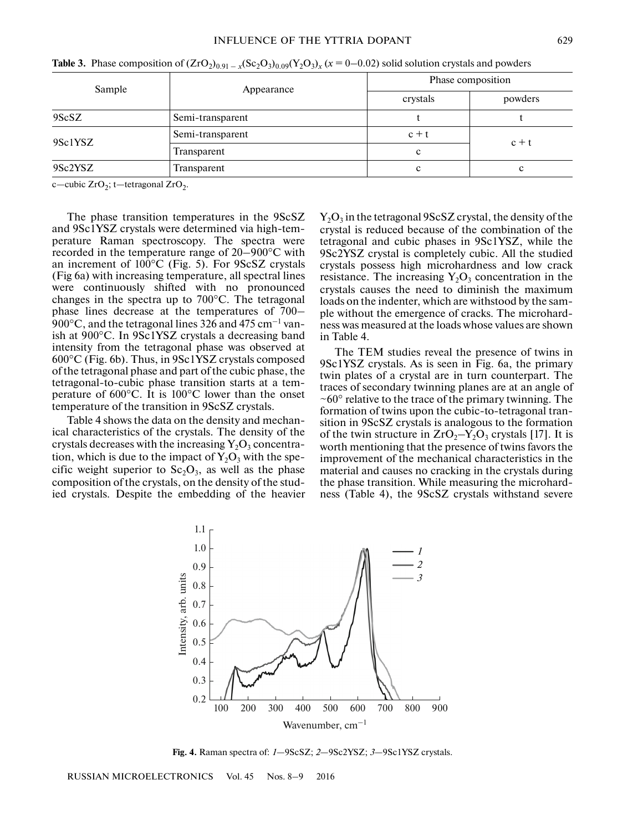| Sample  | Appearance       | Phase composition |         |  |
|---------|------------------|-------------------|---------|--|
|         |                  | crystals          | powders |  |
| 9ScSZ   | Semi-transparent |                   |         |  |
| 9Sc1YSZ | Semi-transparent | $c + t$           |         |  |
|         | Transparent      | $c + t$<br>c      |         |  |
| 9Sc2YSZ | Transparent      | c                 | с       |  |

**Table 3.** Phase composition of  $(ZrO_2)_{0.91-x}(Sc_2O_3)_{0.09}(Y_2O_3)_x$  ( $x = 0-0.02$ ) solid solution crystals and powders

c—cubic  $ZrO_2$ ; t—tetragonal  $ZrO_2$ .

The phase transition temperatures in the 9ScSZ and 9Sc1YSZ crystals were determined via high-temperature Raman spectroscopy. The spectra were recorded in the temperature range of 20–900°C with an increment of 100°C (Fig. 5). For 9ScSZ crystals (Fig 6a) with increasing temperature, all spectral lines were continuously shifted with no pronounced changes in the spectra up to 700°C. The tetragonal phase lines decrease at the temperatures of 700– 900 $^{\circ}$ C, and the tetragonal lines 326 and 475 cm<sup>-1</sup> vanish at 900°C. In 9Sc1YSZ crystals a decreasing band intensity from the tetragonal phase was observed at 600°C (Fig. 6b). Thus, in 9Sc1YSZ crystals composed of the tetragonal phase and part of the cubic phase, the tetragonal-to-cubic phase transition starts at a temperature of 600°C. It is 100°C lower than the onset temperature of the transition in 9ScSZ crystals.

Table 4 shows the data on the density and mechanical characteristics of the crystals. The density of the crystals decreases with the increasing  $Y_2O_3$  concentration, which is due to the impact of  $Y_2O_3$  with the specific weight superior to  $Sc_2O_3$ , as well as the phase composition of the crystals, on the density of the studied crystals. Despite the embedding of the heavier  $Y_2O_3$  in the tetragonal 9ScSZ crystal, the density of the crystal is reduced because of the combination of the tetragonal and cubic phases in 9Sc1YSZ, while the 9Sc2YSZ crystal is completely cubic. All the studied crystals possess high microhardness and low crack resistance. The increasing  $Y_2O_3$  concentration in the crystals causes the need to diminish the maximum loads on the indenter, which are withstood by the sample without the emergence of cracks. The microhardness was measured at the loads whose values are shown in Table 4.

The TEM studies reveal the presence of twins in 9Sc1YSZ crystals. As is seen in Fig. 6a, the primary twin plates of a crystal are in turn counterpart. The traces of secondary twinning planes are at an angle of  $\sim 60^\circ$  relative to the trace of the primary twinning. The formation of twins upon the cubic-to-tetragonal transition in 9ScSZ crystals is analogous to the formation of the twin structure in  $ZrO<sub>2</sub>-Y<sub>2</sub>O<sub>3</sub>$  crystals [17]. It is worth mentioning that the presence of twins favors the improvement of the mechanical characteristics in the material and causes no cracking in the crystals during the phase transition. While measuring the microhardness (Table 4), the 9ScSZ crystals withstand severe



**Fig. 4.** Raman spectra of: *1*—9ScSZ; *2*—9Sc2YSZ; *3*—9Sc1YSZ crystals.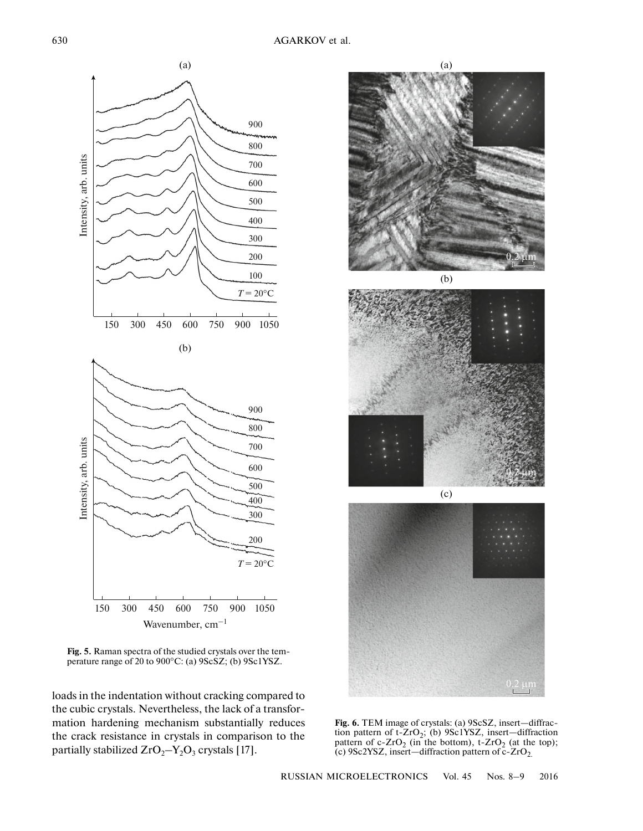

**Fig. 5.** Raman spectra of the studied crystals over the temperature range of 20 to 900°C: (a) 9ScSZ; (b) 9Sc1YSZ.

loads in the indentation without cracking compared to the cubic crystals. Nevertheless, the lack of a transformation hardening mechanism substantially reduces the crack resistance in crystals in comparison to the partially stabilized  $ZrO<sub>2</sub>-Y<sub>2</sub>O<sub>3</sub>$  crystals [17].



**Fig. 6.** TEM image of crystals: (a) 9ScSZ, insert—diffraction pattern of t-ZrO<sub>2</sub>; (b) 9Sc1YSZ, insert—diffraction pattern of c- $ZrO_2$  (in the bottom), t- $ZrO_2$  (at the top); (c) 9Sc2YSZ, insert—diffraction pattern of  $\overline{c}$ -ZrO<sub>2.</sub>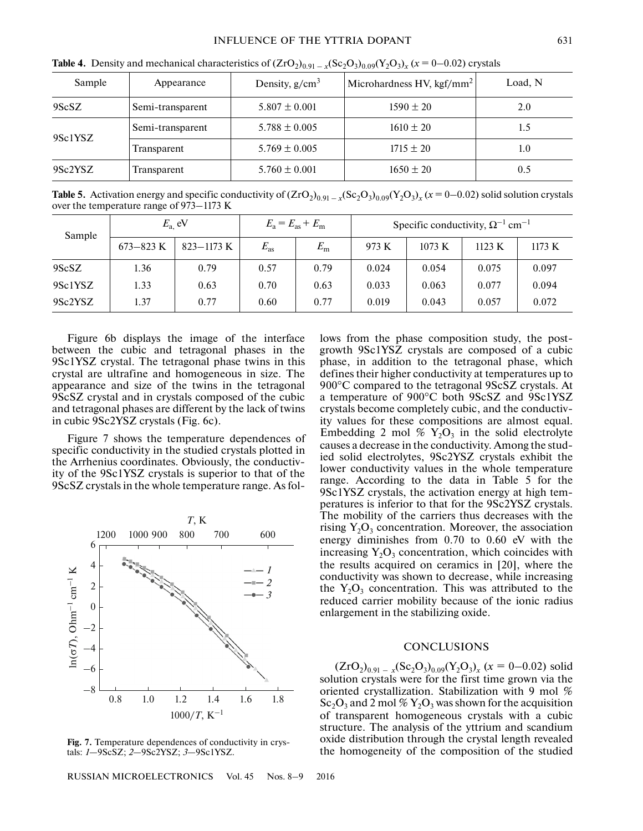#### INFLUENCE OF THE YTTRIA DOPANT 631

| Sample  | Appearance       | Density, $g/cm3$  | Microhardness HV, kgf/mm <sup>2</sup> | Load, N |
|---------|------------------|-------------------|---------------------------------------|---------|
| 9ScSZ   | Semi-transparent | $5.807 \pm 0.001$ | $1590 \pm 20$                         | 2.0     |
| 9Sc1YSZ | Semi-transparent | $5.788 \pm 0.005$ | $1610 \pm 20$                         | 1.5     |
|         | Transparent      | $5.769 \pm 0.005$ | $1715 \pm 20$                         | 1.0     |
| 9Sc2YSZ | Transparent      | $5.760 \pm 0.001$ | $1650 \pm 20$                         | 0.5     |

**Table 4.** Density and mechanical characteristics of  $(ZrO_{2})_{0.91-x}$  $(xc_{2}O_{3})_{0.09}$  $(Y_{2}O_{3})_{x}$  ( $x = 0-0.02$ ) crystals

**Table 5.** Activation energy and specific conductivity of  $(ZrO_2)_{0.91-x}(Sc_2O_3)_{0.09}(Y_2O_3)_x(x=0-0.02)$  solid solution crystals over the temperature range of 973–1173 К

| Sample  | $E_{\rm a}$ eV |                | $E_{\rm a} = E_{\rm as} + E_{\rm m}$ |             | Specific conductivity, $\Omega^{-1}$ cm <sup>-1</sup> |                  |        |        |
|---------|----------------|----------------|--------------------------------------|-------------|-------------------------------------------------------|------------------|--------|--------|
|         | $673 - 823$ K  | $823 - 1173$ K | $E_{\rm as}$                         | $E_{\rm m}$ | 973 K                                                 | $1073 \text{ K}$ | 1123 K | 1173 K |
| 9ScSZ   | 1.36           | 0.79           | 0.57                                 | 0.79        | 0.024                                                 | 0.054            | 0.075  | 0.097  |
| 9Sc1YSZ | 1.33           | 0.63           | 0.70                                 | 0.63        | 0.033                                                 | 0.063            | 0.077  | 0.094  |
| 9Sc2YSZ | 1.37           | 0.77           | 0.60                                 | 0.77        | 0.019                                                 | 0.043            | 0.057  | 0.072  |

Figure 6b displays the image of the interface between the cubic and tetragonal phases in the 9Sc1YSZ crystal. The tetragonal phase twins in this crystal are ultrafine and homogeneous in size. The appearance and size of the twins in the tetragonal 9ScSZ crystal and in crystals composed of the cubic and tetragonal phases are different by the lack of twins in cubic 9Sc2YSZ crystals (Fig. 6c).

Figure 7 shows the temperature dependences of specific conductivity in the studied crystals plotted in the Arrhenius coordinates. Obviously, the conductivity of the 9Sc1YSZ crystals is superior to that of the 9ScSZ crystals in the whole temperature range. As fol-



**Fig. 7.** Temperature dependences of conductivity in crystals: *1*—9ScSZ; *2*—9Sc2YSZ; *3*—9Sc1YSZ.

RUSSIAN MICROELECTRONICS Vol. 45 Nos. 8–9 2016

lows from the phase composition study, the postgrowth 9Sc1YSZ crystals are composed of a cubic phase, in addition to the tetragonal phase, which defines their higher conductivity at temperatures up to 900°C compared to the tetragonal 9ScSZ crystals. At a temperature of 900°C both 9ScSZ and 9Sc1YSZ crystals become completely cubic, and the conductivity values for these compositions are almost equal. Embedding 2 mol %  $Y_2O_3$  in the solid electrolyte causes a decrease in the conductivity. Among the studied solid electrolytes, 9Sc2YSZ crystals exhibit the lower conductivity values in the whole temperature range. According to the data in Table 5 for the 9Sc1YSZ crystals, the activation energy at high temperatures is inferior to that for the 9Sc2YSZ crystals. The mobility of the carriers thus decreases with the rising  $Y_2O_3$  concentration. Moreover, the association energy diminishes from 0.70 to 0.60 eV with the increasing  $Y_2O_3$  concentration, which coincides with the results acquired on ceramics in [20], where the conductivity was shown to decrease, while increasing the  $Y_2O_3$  concentration. This was attributed to the reduced carrier mobility because of the ionic radius enlargement in the stabilizing oxide.

## **CONCLUSIONS**

 $(ZrO<sub>2</sub>)<sub>0.91-x</sub>(Sc<sub>2</sub>O<sub>3</sub>)<sub>0.09</sub>(Y<sub>2</sub>O<sub>3</sub>)<sub>x</sub>$  ( $x = 0-0.02$ ) solid solution crystals were for the first time grown via the oriented crystallization. Stabilization with 9 mol %  $Sc_2O_3$  and 2 mol  $\%$  Y<sub>2</sub>O<sub>3</sub> was shown for the acquisition of transparent homogeneous crystals with a cubic structure. The analysis of the yttrium and scandium oxide distribution through the crystal length revealed the homogeneity of the composition of the studied